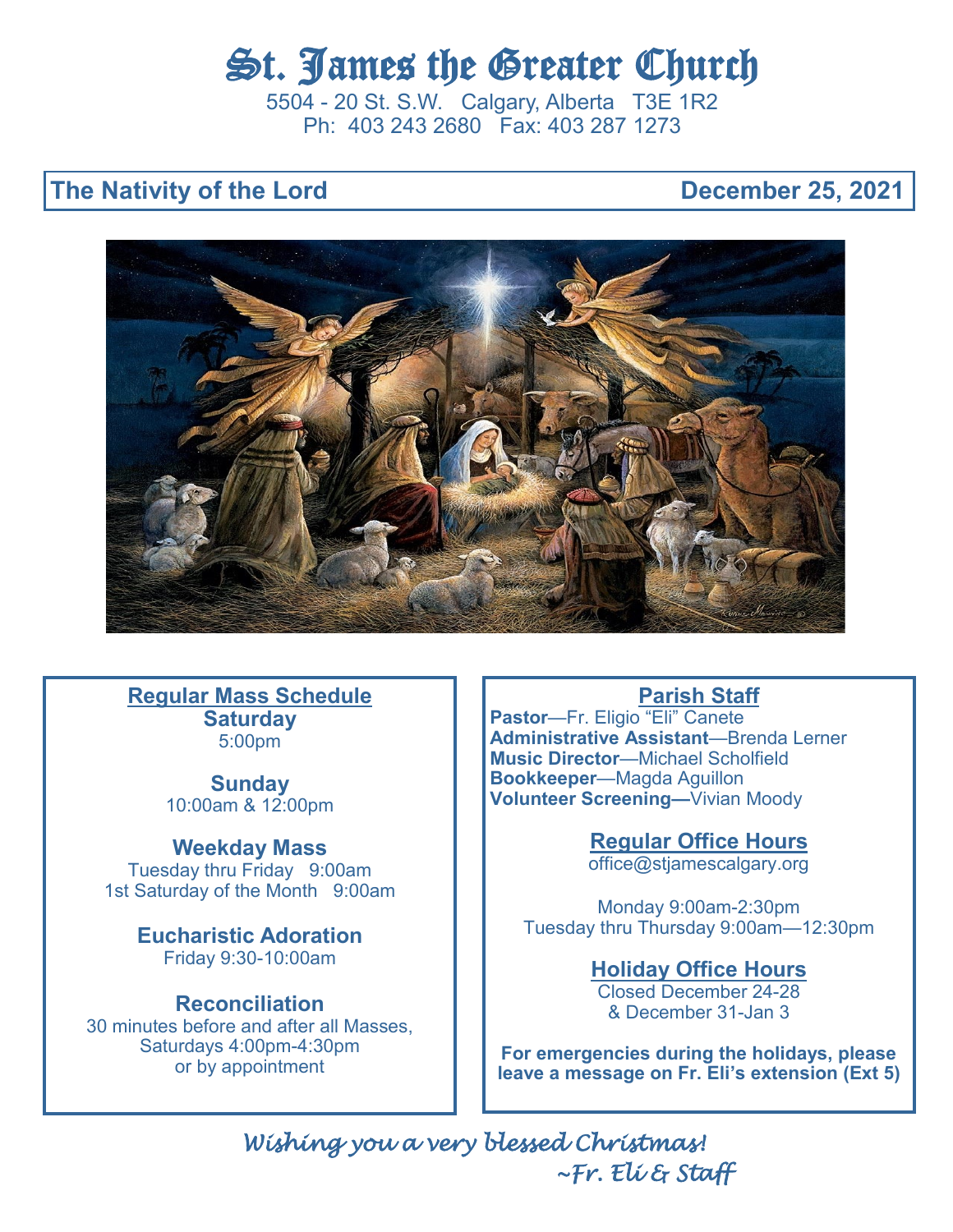# St. James the Greater Church

5504 - 20 St. S.W. Calgary, Alberta T3E 1R2 Ph: 403 243 2680 Fax: 403 287 1273

# **The Nativity of the Lord Community Community Community Community Community Community Community Community Community**



**Regular Mass Schedule Saturday**  5:00pm

> **Sunday**  10:00am & 12:00pm

**Weekday Mass**  Tuesday thru Friday 9:00am

1st Saturday of the Month 9:00am

**Eucharistic Adoration** Friday 9:30-10:00am

# **Reconciliation**

30 minutes before and after all Masses, Saturdays 4:00pm-4:30pm or by appointment

# **Parish Staff**

**Pastor**—Fr. Eligio "Eli" Canete **Administrative Assistant**—Brenda Lerner **Music Director**—Michael Scholfield **Bookkeeper**—Magda Aguillon **Volunteer Screening—**Vivian Moody

> **Regular Office Hours** office@stjamescalgary.org

Monday 9:00am-2:30pm Tuesday thru Thursday 9:00am—12:30pm

# **Holiday Office Hours**

Closed December 24-28 & December 31-Jan 3

**For emergencies during the holidays, please leave a message on Fr. Eli's extension (Ext 5)**

*Wishing you a very blessed Christmas! ~Fr. Eli & Staff*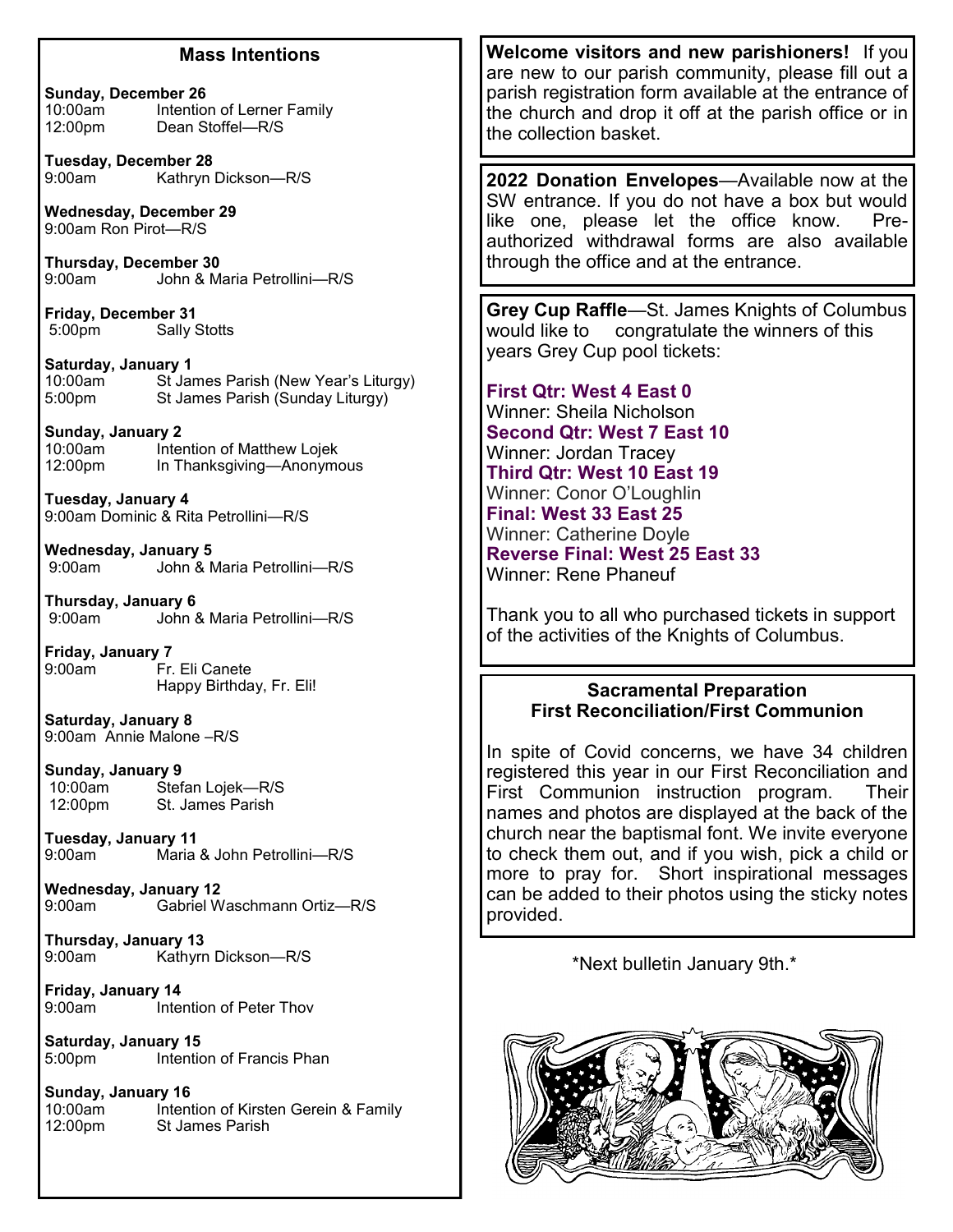#### **Mass Intentions**

**Sunday, December 26**<br>10:00am **Intention** Intention of Lerner Family 12:00pm Dean Stoffel—R/S

**Tuesday, December 28** Kathryn Dickson—R/S

**Wednesday, December 29** 9:00am Ron Pirot—R/S

**Thursday, December 30** 9:00am John & Maria Petrollini—R/S

**Friday, December 31** 5:00pm Sally Stotts

**Saturday, January 1** 10:00am St James Parish (New Year's Liturgy) 5:00pm St James Parish (Sunday Liturgy)

**Sunday, January 2** Intention of Matthew Lojek 12:00pm In Thanksgiving—Anonymous

**Tuesday, January 4** 9:00am Dominic & Rita Petrollini—R/S

**Wednesday, January 5**<br>9:00am John & N John & Maria Petrollini—R/S

**Thursday, January 6**<br>9:00am - John 8 John & Maria Petrollini—R/S

**Friday, January 7** Fr. Eli Canete Happy Birthday, Fr. Eli!

**Saturday, January 8** 9:00am Annie Malone –R/S

**Sunday, January 9** 10:00am Stefan Lojek—R/S<br>12:00pm St. James Parish St. James Parish

**Tuesday, January 11** Maria & John Petrollini-R/S

**Wednesday, January 12** Gabriel Waschmann Ortiz-R/S

**Thursday, January 13** Kathyrn Dickson-R/S

**Friday, January 14** Intention of Peter Thov

**Saturday, January 15** 5:00pm Intention of Francis Phan

**Sunday, January 16** 10:00am Intention of Kirsten Gerein & Family<br>12:00pm St James Parish St James Parish

**Welcome visitors and new parishioners!** If you are new to our parish community, please fill out a parish registration form available at the entrance of the church and drop it off at the parish office or in the collection basket.

**2022 Donation Envelopes**—Available now at the SW entrance. If you do not have a box but would like one, please let the office know. Preauthorized withdrawal forms are also available through the office and at the entrance.

**Grey Cup Raffle**—St. James Knights of Columbus would like to congratulate the winners of this years Grey Cup pool tickets:

**First Qtr: West 4 East 0**  Winner: Sheila Nicholson **Second Qtr: West 7 East 10**  Winner: Jordan Tracey **Third Qtr: West 10 East 19**  Winner: Conor O'Loughlin **Final: West 33 East 25**  Winner: Catherine Doyle **Reverse Final: West 25 East 33**  Winner: Rene Phaneuf

Thank you to all who purchased tickets in support of the activities of the Knights of Columbus.

#### **Sacramental Preparation First Reconciliation/First Communion**

In spite of Covid concerns, we have 34 children registered this year in our First Reconciliation and First Communion instruction program. Their names and photos are displayed at the back of the church near the baptismal font. We invite everyone to check them out, and if you wish, pick a child or more to pray for. Short inspirational messages can be added to their photos using the sticky notes provided.

\*Next bulletin January 9th.\*

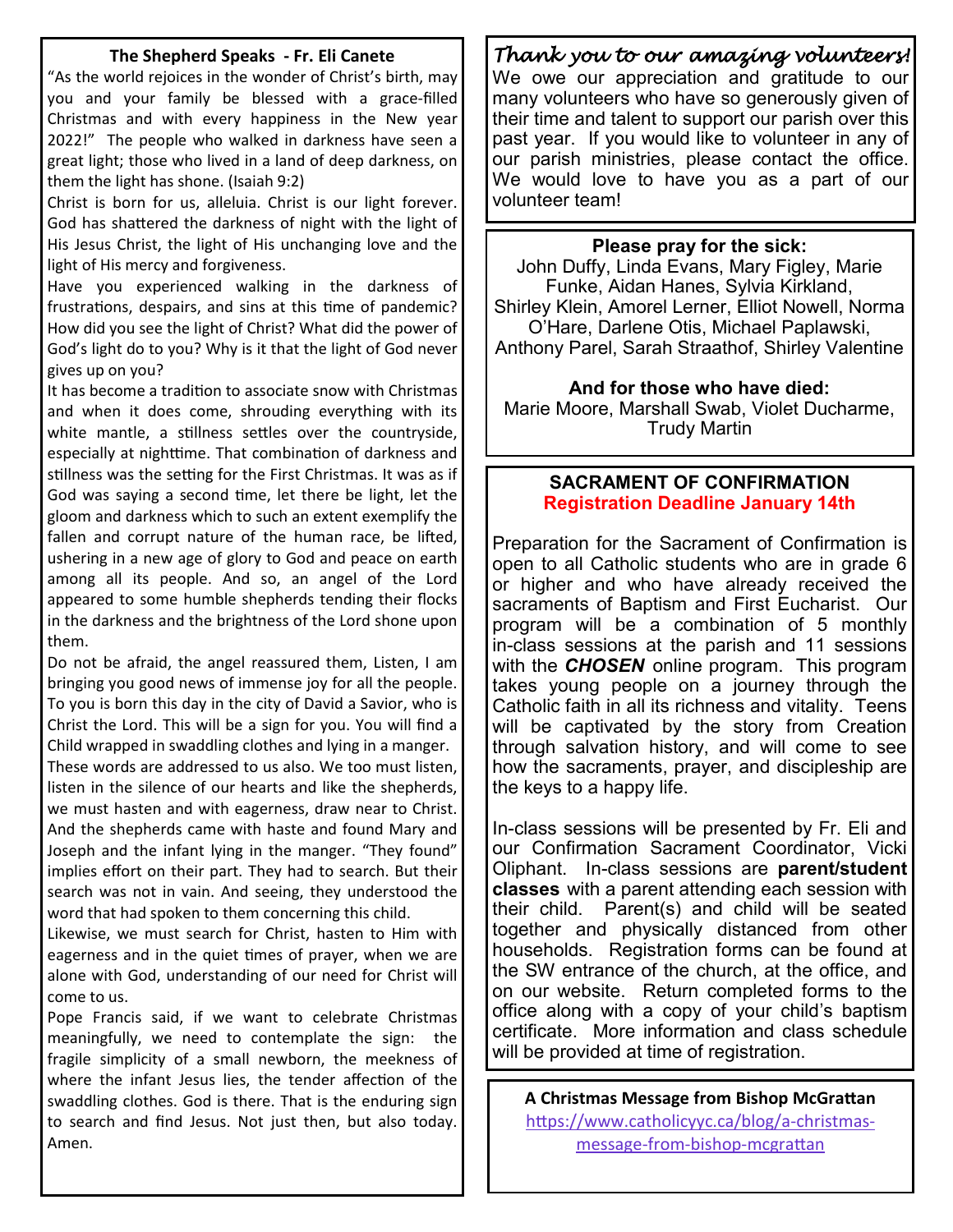#### **The Shepherd Speaks - Fr. Eli Canete**

"As the world rejoices in the wonder of Christ's birth, may you and your family be blessed with a grace-filled Christmas and with every happiness in the New year 2022!" The people who walked in darkness have seen a great light; those who lived in a land of deep darkness, on them the light has shone. (Isaiah 9:2)

Christ is born for us, alleluia. Christ is our light forever. God has shattered the darkness of night with the light of His Jesus Christ, the light of His unchanging love and the light of His mercy and forgiveness.

Have you experienced walking in the darkness of frustrations, despairs, and sins at this time of pandemic? How did you see the light of Christ? What did the power of God's light do to you? Why is it that the light of God never gives up on you?

It has become a tradition to associate snow with Christmas and when it does come, shrouding everything with its white mantle, a stillness settles over the countryside, especially at nighttime. That combination of darkness and stillness was the setting for the First Christmas. It was as if God was saying a second time, let there be light, let the gloom and darkness which to such an extent exemplify the fallen and corrupt nature of the human race, be lifted, ushering in a new age of glory to God and peace on earth among all its people. And so, an angel of the Lord appeared to some humble shepherds tending their flocks in the darkness and the brightness of the Lord shone upon them.

Do not be afraid, the angel reassured them, Listen, I am bringing you good news of immense joy for all the people. To you is born this day in the city of David a Savior, who is Christ the Lord. This will be a sign for you. You will find a Child wrapped in swaddling clothes and lying in a manger. These words are addressed to us also. We too must listen, listen in the silence of our hearts and like the shepherds, we must hasten and with eagerness, draw near to Christ. And the shepherds came with haste and found Mary and Joseph and the infant lying in the manger. "They found" implies effort on their part. They had to search. But their search was not in vain. And seeing, they understood the word that had spoken to them concerning this child.

Likewise, we must search for Christ, hasten to Him with eagerness and in the quiet times of prayer, when we are alone with God, understanding of our need for Christ will come to us.

Pope Francis said, if we want to celebrate Christmas meaningfully, we need to contemplate the sign: the fragile simplicity of a small newborn, the meekness of where the infant Jesus lies, the tender affection of the swaddling clothes. God is there. That is the enduring sign to search and find Jesus. Not just then, but also today. Amen.

# *Thank you to our amazing volunteers!*

We owe our appreciation and gratitude to our many volunteers who have so generously given of their time and talent to support our parish over this past year. If you would like to volunteer in any of our parish ministries, please contact the office. We would love to have you as a part of our volunteer team!

#### **Please pray for the sick:**

John Duffy, Linda Evans, Mary Figley, Marie Funke, Aidan Hanes, Sylvia Kirkland, Shirley Klein, Amorel Lerner, Elliot Nowell, Norma O'Hare, Darlene Otis, Michael Paplawski, Anthony Parel, Sarah Straathof, Shirley Valentine

**And for those who have died:** Marie Moore, Marshall Swab, Violet Ducharme, Trudy Martin

#### **SACRAMENT OF CONFIRMATION Registration Deadline January 14th**

Preparation for the Sacrament of Confirmation is open to all Catholic students who are in grade 6 or higher and who have already received the sacraments of Baptism and First Eucharist. Our program will be a combination of 5 monthly in-class sessions at the parish and 11 sessions with the *CHOSEN* online program. This program takes young people on a journey through the Catholic faith in all its richness and vitality. Teens will be captivated by the story from Creation through salvation history, and will come to see how the sacraments, prayer, and discipleship are the keys to a happy life.

In-class sessions will be presented by Fr. Eli and our Confirmation Sacrament Coordinator, Vicki Oliphant. In-class sessions are **parent/student classes** with a parent attending each session with their child. Parent(s) and child will be seated together and physically distanced from other households. Registration forms can be found at the SW entrance of the church, at the office, and on our website. Return completed forms to the office along with a copy of your child's baptism certificate. More information and class schedule will be provided at time of registration.

**A Christmas Message from Bishop McGrattan** [https://www.catholicyyc.ca/blog/a](https://www.catholicyyc.ca/blog/a-christmas-message-from-bishop-mcgrattan)-christmasmessage-from-bishop-[mcgrattan](https://www.catholicyyc.ca/blog/a-christmas-message-from-bishop-mcgrattan)